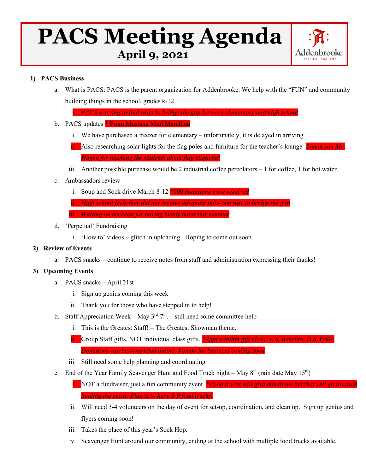# **PACS Meeting Agenda**



## **1) PACS Business**

a. What is PACS: PACS is the parent organization for Addenbrooke. We help with the "FUN" and community building things in the school, grades k-12.

*i. PACS is trying to find ways to bridge the gap between elementary and high school* 

- b. PACS updates \* From Mustang Mini Marathon
	- i. We have purchased a freezer for elementary unfortunately, it is delayed in arriving
	- *ii.* Also researching solar lights for the flag poles and furniture for the teacher's lounge- *Thank you Mr. Hagen for teaching the students about flag etiquette!*
	- iii. Another possible purchase would be 2 industrial coffee percolators  $-1$  for coffee, 1 for hot water.
- c. Ambassadors review
	- i. Soup and Sock drive March 8-12 *\*600 donations were received*
	- ii. *High school feels they did not receive adequate info- one way to bridge the ga*
	- iii. *Waiting on decision for having buddy dates this summer*
- d. 'Perpetual' Fundraising
	- i. 'How to' videos glitch in uploading. Hoping to come out soon.

#### **2) Review of Events**

a. PACS snacks – continue to receive notes from staff and administration expressing their thanks!

# **3) Upcoming Events**

- a. PACS snacks April 21st
	- i. Sign up genius coming this week
	- ii. Thank you for those who have stepped in to help!
- b. Staff Appreciation Week May  $3<sup>rd</sup> 7<sup>th</sup>$ . still need some committee help
	- i. This is the Greatest Staff! The Greatest Showman theme.
	- ii. Group Staff gifts, NOT individual class gifts. *\*Appreciation gift ideas: E.S. Benches, H.S. Grill; Donations can be completed online; Venmo for business coming soon*
	- iii. Still need some help planning and coordinating
- c. End of the Year Family Scavenger Hunt and Food Truck night May  $8<sup>th</sup>$  (rain date May 15<sup>th</sup>)
	- *i.* NOT a fundraiser, just a fun community event. *\*Food trucks will give donations but that will go towards funding the event; Plan is to have 5-9 food trucks;*
	- ii. Will need 3-4 volunteers on the day of event for set-up, coordination, and clean up. Sign up genius and flyers coming soon!
	- iii. Takes the place of this year's Sock Hop.
	- iv. Scavenger Hunt around our community, ending at the school with multiple food trucks available.